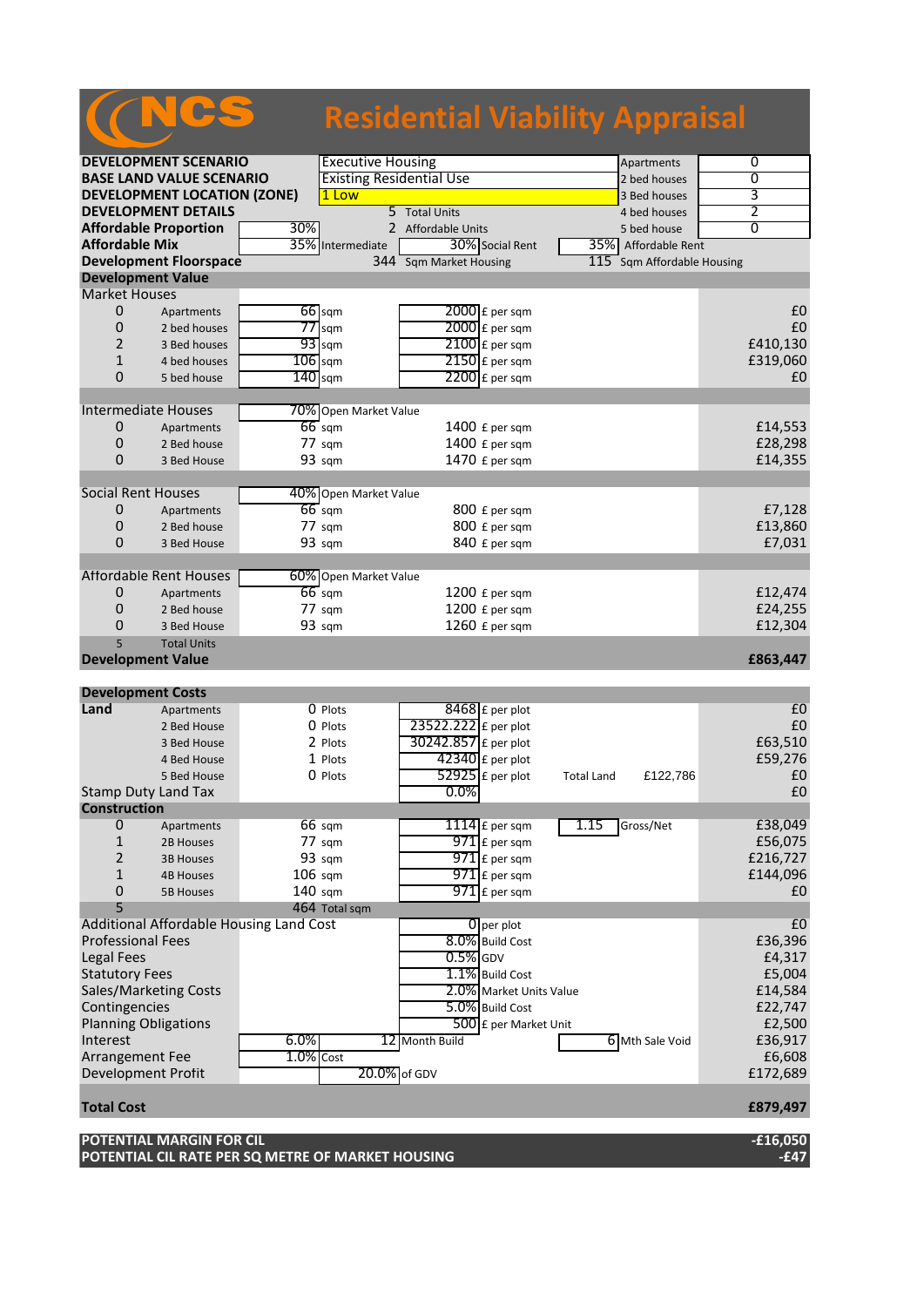|                       |                                    |                   |                          |                                 |                             |             | <b>Residential Viability Appraisal</b> |                |
|-----------------------|------------------------------------|-------------------|--------------------------|---------------------------------|-----------------------------|-------------|----------------------------------------|----------------|
|                       |                                    |                   |                          |                                 |                             |             |                                        |                |
|                       | <b>DEVELOPMENT SCENARIO</b>        |                   | <b>Executive Housing</b> |                                 |                             |             | Apartments                             | 0              |
|                       | <b>BASE LAND VALUE SCENARIO</b>    |                   |                          | <b>Existing Residential Use</b> |                             |             | 2 bed houses                           | $\overline{0}$ |
|                       | <b>DEVELOPMENT LOCATION (ZONE)</b> |                   | 1 Low                    |                                 |                             |             | 3 Bed houses                           | 3              |
|                       | <b>DEVELOPMENT DETAILS</b>         |                   |                          | 5 Total Units                   |                             |             | 4 bed houses                           | 2              |
|                       | <b>Affordable Proportion</b>       | 30%               | 2 Affordable Units       |                                 |                             | 5 bed house | $\overline{0}$                         |                |
| <b>Affordable Mix</b> |                                    |                   | 35% Intermediate         |                                 | 30% Social Rent             |             | 35% Affordable Rent                    |                |
|                       | <b>Development Floorspace</b>      |                   |                          | 344 Sqm Market Housing          |                             | 115         | Sqm Affordable Housing                 |                |
|                       | <b>Development Value</b>           |                   |                          |                                 |                             |             |                                        |                |
| <b>Market Houses</b>  |                                    |                   |                          |                                 |                             |             |                                        |                |
| 0                     | Apartments                         | $66$ sqm          |                          |                                 | $2000$ £ per sqm            |             |                                        | £0             |
| 0                     | 2 bed houses                       | $77$ sqm          |                          |                                 | 2000 £ per sqm              |             |                                        | £0             |
| $\overline{2}$        | 3 Bed houses                       | $93$ sqm          |                          |                                 | $2100$ $E$ per sqm          |             |                                        | £410,130       |
| $\mathbf{1}$          | 4 bed houses                       | $106$ sqm         |                          |                                 | 2150 £ per sqm              |             |                                        | £319,060       |
| $\Omega$              | 5 bed house                        | 140               | sqm                      |                                 | $2200$ £ per sqm            |             |                                        | £0             |
|                       |                                    |                   |                          |                                 |                             |             |                                        |                |
|                       | <b>Intermediate Houses</b>         |                   | 70% Open Market Value    |                                 |                             |             |                                        |                |
| $\mathbf 0$           | Apartments                         | $66 \text{ sqm}$  |                          |                                 | 1400 £ per sqm              |             |                                        | £14,553        |
| $\mathbf 0$           | 2 Bed house                        | $77 \text{ s}$ gm |                          |                                 | 1400 £ per sqm              |             |                                        | £28,298        |
| $\Omega$              | 3 Bed House                        | 93 sqm            |                          |                                 | 1470 £ per sqm              |             |                                        | £14,355        |
|                       |                                    |                   |                          |                                 |                             |             |                                        |                |
|                       | <b>Social Rent Houses</b>          |                   | 40% Open Market Value    |                                 |                             |             |                                        |                |
| 0                     | Apartments                         | $66$ sqm          |                          |                                 | 800 £ per sqm               |             |                                        | £7,128         |
| $\Omega$              | 2 Bed house                        | $77 \text{ s}$ gm |                          |                                 | 800 £ per sqm               |             |                                        | £13,860        |
| $\Omega$              | 3 Bed House                        | 93 sqm            |                          |                                 | 840 £ per sqm               |             |                                        | £7,031         |
|                       |                                    |                   |                          |                                 |                             |             |                                        |                |
|                       | <b>Affordable Rent Houses</b>      |                   | 60% Open Market Value    |                                 |                             |             |                                        |                |
| 0                     | Apartments                         | $66 \text{ sqm}$  |                          |                                 | 1200 £ per sqm              |             |                                        | £12,474        |
| $\overline{0}$        | 2 Bed house                        | $77 \text{ s}$ gm |                          |                                 | 1200 £ per sqm              |             |                                        | £24,255        |
| 0                     | 3 Bed House                        | 93 sqm            |                          |                                 | 1260 £ per sqm              |             |                                        | £12,304        |
| $\overline{5}$        | <b>Total Units</b>                 |                   |                          |                                 |                             |             |                                        |                |
|                       | <b>Development Value</b>           |                   |                          |                                 |                             |             |                                        | £863,447       |
|                       |                                    |                   |                          |                                 |                             |             |                                        |                |
|                       | <b>Development Costs</b>           |                   |                          |                                 |                             |             |                                        |                |
| Land                  | Apartments                         |                   | $0$ Plots                |                                 | 8468 £ per plot             |             |                                        | E <sub>0</sub> |
|                       | 2 Bed House                        |                   | $0$ Plots                | 23522.222 £ per plot            |                             |             |                                        | £0             |
|                       | 3 Bed House                        |                   | 2 Plots                  | 30242.857 £ per plot            |                             |             |                                        | £63,510        |
|                       | 4 Bed House                        |                   | 1 Plots                  |                                 | $42340$ £ per plot          |             |                                        | £59,276        |
|                       | E Pod House                        |                   | $n_{\text{black}}$       |                                 | $52025$ $\epsilon$ por plot | Total       | <b>C100 796</b>                        | $f \cap$       |

|                                         | 5 Bed House      |                   | 0 Plots          |                 | 52925 $E$ per plot      | <b>Total Land</b> | £122,786        | £0       |
|-----------------------------------------|------------------|-------------------|------------------|-----------------|-------------------------|-------------------|-----------------|----------|
| <b>Stamp Duty Land Tax</b>              |                  |                   |                  | 0.0%            |                         |                   |                 | £0       |
| <b>Construction</b>                     |                  |                   |                  |                 |                         |                   |                 |          |
| 0                                       | Apartments       |                   | $66 \text{ sqm}$ |                 | $1114$ E per sqm        | 1.15              | Gross/Net       | £38,049  |
|                                         | 2B Houses        |                   | 77 sqm           |                 | $971$ E per sqm         |                   |                 | £56,075  |
|                                         | <b>3B Houses</b> |                   | 93 sqm           |                 | $971$ E per sqm         |                   |                 | £216,727 |
|                                         | <b>4B Houses</b> | $106 \text{ sam}$ |                  |                 | $971$ E per sqm         |                   |                 | £144,096 |
| 0                                       | 5B Houses        | 140 sqm           |                  |                 | $971$ $E$ per sqm       |                   |                 | £0       |
|                                         |                  |                   | 464 Total sqm    |                 |                         |                   |                 |          |
| Additional Affordable Housing Land Cost |                  |                   |                  | $0$ per plot    |                         |                   | £0              |          |
| <b>Professional Fees</b>                |                  |                   |                  |                 | 8.0% Build Cost         |                   |                 | £36,396  |
| Legal Fees                              |                  |                   |                  | $0.5\%$ GDV     |                         |                   |                 | £4,317   |
| <b>Statutory Fees</b>                   |                  |                   |                  |                 | 1.1% Build Cost         |                   |                 | £5,004   |
| <b>Sales/Marketing Costs</b>            |                  |                   |                  |                 | 2.0% Market Units Value |                   |                 | £14,584  |
| Contingencies                           |                  |                   |                  |                 | 5.0% Build Cost         |                   |                 | £22,747  |
| <b>Planning Obligations</b>             |                  |                   |                  |                 | 500 £ per Market Unit   |                   |                 | £2,500   |
| Interest                                |                  | 6.0%              |                  | 12 Month Build  |                         |                   | 6 Mth Sale Void | £36,917  |
| Arrangement Fee                         |                  | $1.0\%$ Cost      |                  |                 |                         |                   |                 | £6,608   |
| Development Profit                      |                  |                   |                  | $20.0\%$ of GDV |                         |                   |                 | £172,689 |

# **Total Cost £879,497**

| POTENTIAL MARGIN FOR CIL                          | $-£16,050$ |
|---------------------------------------------------|------------|
| POTENTIAL CIL RATE PER SQ METRE OF MARKET HOUSING | -£47       |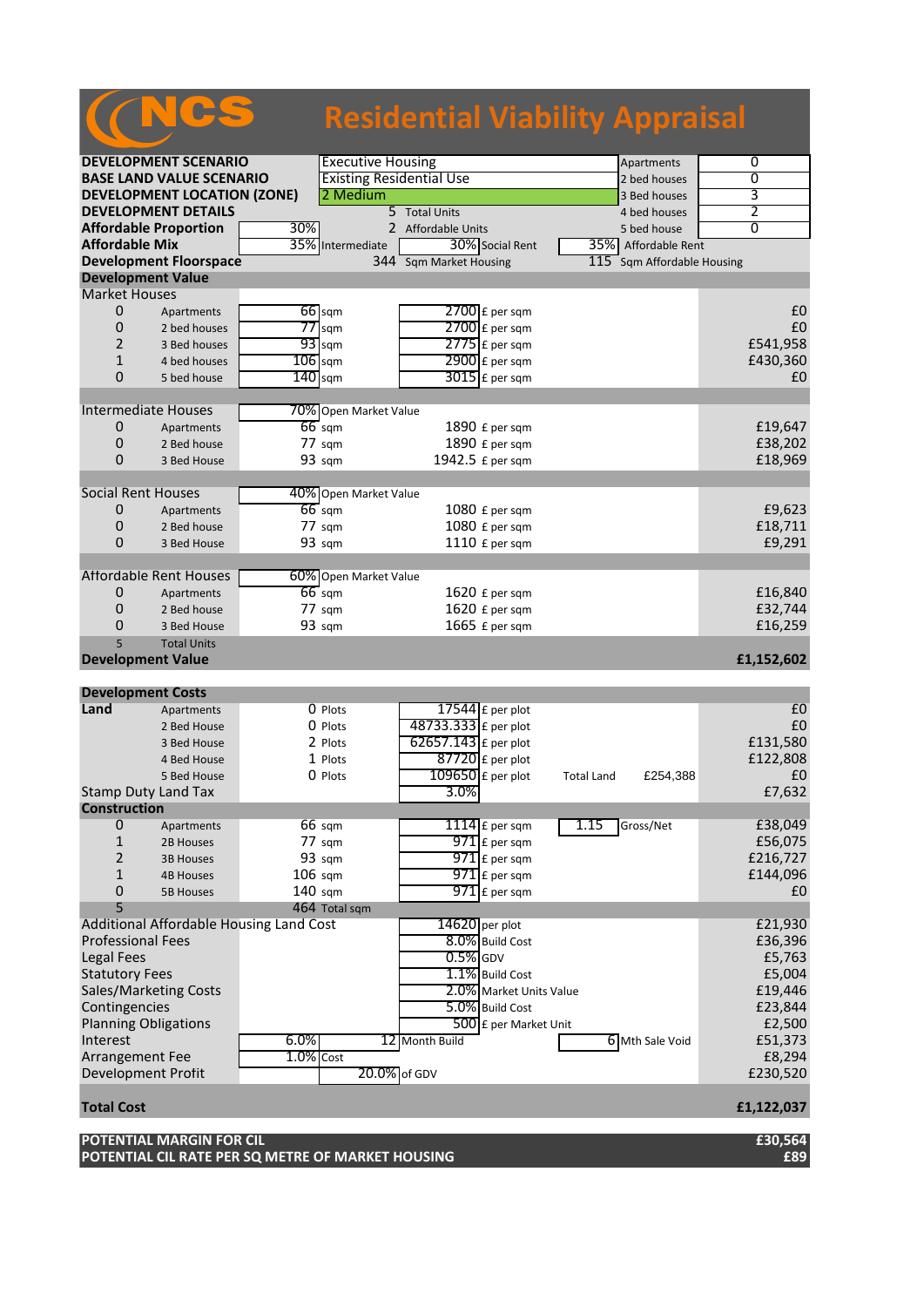# **Residential Viability Appraisal**

|                                                      | <b>DEVELOPMENT SCENARIO</b>             |             | <b>Executive Housing</b><br>Apartments |                        |                         |                   | 0                          |                |
|------------------------------------------------------|-----------------------------------------|-------------|----------------------------------------|------------------------|-------------------------|-------------------|----------------------------|----------------|
| <b>BASE LAND VALUE SCENARIO</b>                      |                                         |             | <b>Existing Residential Use</b>        |                        |                         |                   | 2 bed houses               | 0              |
| <b>DEVELOPMENT LOCATION (ZONE)</b>                   |                                         |             | 2 Medium                               |                        |                         | 3 Bed houses      | 3                          |                |
|                                                      | <b>DEVELOPMENT DETAILS</b>              |             |                                        | 5 Total Units          |                         |                   | 4 bed houses               | 2              |
|                                                      | <b>Affordable Proportion</b>            | 30%         |                                        | 2 Affordable Units     |                         |                   | 5 bed house                | $\overline{0}$ |
| <b>Affordable Mix</b>                                |                                         |             | 35% Intermediate                       | 30% Social Rent        |                         | 35%               | Affordable Rent            |                |
|                                                      | <b>Development Floorspace</b>           |             |                                        | 344 Sqm Market Housing |                         |                   | 115 Sqm Affordable Housing |                |
| <b>Development Value</b>                             |                                         |             |                                        |                        |                         |                   |                            |                |
| <b>Market Houses</b>                                 |                                         |             |                                        |                        |                         |                   |                            |                |
| $\mathbf 0$                                          | Apartments                              |             | $66$ sqm                               | $2700$ £ per sqm       |                         |                   |                            | £0             |
| 0                                                    | 2 bed houses                            |             | $77$ sqm                               | $2700$ $E$ per sqm     |                         |                   |                            | £0             |
| $\overline{2}$                                       | 3 Bed houses                            |             | $93$ sqm                               | $2775$ $E$ per sqm     |                         |                   |                            | £541,958       |
| $\mathbf{1}$                                         | 4 bed houses                            | $106$ sqm   |                                        | 2900 £ per sqm         |                         |                   |                            | £430,360       |
| 0                                                    | 5 bed house                             | $140$ sqm   |                                        | $3015$ £ per sqm       |                         |                   |                            | £0             |
|                                                      |                                         |             |                                        |                        |                         |                   |                            |                |
|                                                      | <b>Intermediate Houses</b>              |             | 70% Open Market Value                  |                        |                         |                   |                            |                |
| 0                                                    | Apartments                              |             | $66$ sqm                               | 1890 £ per sqm         |                         |                   |                            | £19,647        |
| 0                                                    | 2 Bed house                             |             | 77 sqm                                 | 1890 £ per sqm         |                         |                   |                            | £38,202        |
| 0                                                    | 3 Bed House                             |             | 93 sqm                                 | 1942.5 £ per sqm       |                         |                   |                            | £18,969        |
|                                                      |                                         |             |                                        |                        |                         |                   |                            |                |
| <b>Social Rent Houses</b>                            |                                         |             | 40% Open Market Value                  |                        |                         |                   |                            |                |
| $\mathbf 0$                                          | Apartments                              |             | $66 \text{ sqm}$                       | 1080 £ per sqm         |                         |                   |                            | £9,623         |
| 0                                                    | 2 Bed house                             |             | 77 sqm                                 | 1080 £ per sqm         |                         |                   |                            | £18,711        |
| 0                                                    | 3 Bed House                             |             | 93 sqm                                 | 1110 £ per sqm         |                         |                   |                            | £9,291         |
|                                                      | <b>Affordable Rent Houses</b>           |             | 60% Open Market Value                  |                        |                         |                   |                            |                |
| 0                                                    | Apartments                              |             | $66$ sqm                               | 1620 £ per sqm         |                         |                   |                            | £16,840        |
| 0                                                    | 2 Bed house                             |             | 77 sqm                                 | 1620 £ per sqm         |                         |                   |                            | £32,744        |
| 0                                                    | 3 Bed House                             |             | 93 sqm                                 | 1665 £ per sqm         |                         |                   |                            | £16,259        |
| 5                                                    | <b>Total Units</b>                      |             |                                        |                        |                         |                   |                            |                |
| <b>Development Value</b>                             |                                         |             |                                        |                        |                         |                   |                            | £1,152,602     |
|                                                      |                                         |             |                                        |                        |                         |                   |                            |                |
| <b>Development Costs</b>                             |                                         |             |                                        |                        |                         |                   |                            |                |
| Land                                                 | Apartments                              |             | 0 Plots                                | $17544$ £ per plot     |                         |                   |                            | £0             |
|                                                      | 2 Bed House                             |             | 0 Plots                                | 48733.333 £ per plot   |                         |                   |                            | £0             |
|                                                      | 3 Bed House                             |             | 2 Plots                                | 62657.143 £ per plot   |                         |                   |                            | £131,580       |
|                                                      | 4 Bed House                             |             | 1 Plots                                | $87720$ £ per plot     |                         |                   |                            | £122,808       |
|                                                      | 5 Bed House                             |             | 0 Plots                                | $109650$ £ per plot    |                         | <b>Total Land</b> | £254,388                   | £0             |
|                                                      | <b>Stamp Duty Land Tax</b>              |             |                                        | 3.0%                   |                         |                   |                            | £7,632         |
| <b>Construction</b>                                  |                                         |             |                                        |                        |                         |                   |                            |                |
| 0                                                    | Apartments                              |             | 66 sqm                                 | 1114 $E$ per sqm       |                         | 1.15              | Gross/Net                  | £38,049        |
| $\mathbf{1}$                                         | 2B Houses                               |             | 77 sqm                                 | $971$ $E$ per sqm      |                         |                   |                            | £56,075        |
| 2                                                    | <b>3B Houses</b>                        |             | 93 sqm                                 | $971$ $E$ per sqm      |                         |                   |                            | £216,727       |
| 1                                                    | <b>4B Houses</b>                        | $106$ sqm   |                                        | $971$ £ per sqm        |                         |                   |                            | £144,096       |
| 0                                                    | <b>5B Houses</b>                        | 140 sqm     |                                        | $971$ $E$ per sqm      |                         |                   |                            | £0             |
| 5                                                    |                                         |             | 464 Total sqm                          |                        |                         |                   |                            |                |
|                                                      | Additional Affordable Housing Land Cost |             |                                        | $14620$ per plot       |                         |                   |                            | £21,930        |
| <b>Professional Fees</b>                             |                                         |             |                                        | 8.0% Build Cost        |                         |                   |                            | £36,396        |
| <b>Legal Fees</b>                                    |                                         |             |                                        | $0.5%$ GDV             |                         |                   |                            | £5,763         |
| <b>Statutory Fees</b>                                |                                         |             |                                        | 1.1% Build Cost        |                         |                   |                            | £5,004         |
|                                                      | Sales/Marketing Costs                   |             |                                        |                        | 2.0% Market Units Value |                   |                            | £19,446        |
| Contingencies<br>5.0% Build Cost                     |                                         |             |                                        |                        | £23,844                 |                   |                            |                |
| <b>Planning Obligations</b><br>500 £ per Market Unit |                                         |             |                                        |                        |                         | £2,500            |                            |                |
| Interest                                             |                                         | 6.0%        |                                        | 12 Month Build         |                         |                   | 6 Mth Sale Void            | £51,373        |
| Arrangement Fee                                      |                                         | $1.0%$ Cost |                                        |                        |                         |                   |                            | £8,294         |
|                                                      |                                         |             | 20.0% of GDV                           |                        |                         |                   |                            | £230,520       |
| Development Profit                                   |                                         |             |                                        |                        |                         |                   |                            |                |

NCS